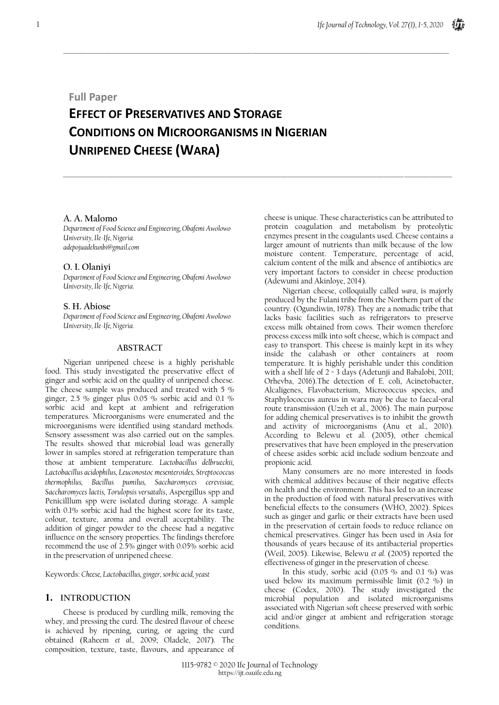# **Full Paper**

# **EFFECT OF PRESERVATIVES AND STORAGE CONDITIONS ON MICROORGANISMS IN NIGERIAN UNRIPENED CHEESE (WARA)**

 $\_$  , and the set of the set of the set of the set of the set of the set of the set of the set of the set of the set of the set of the set of the set of the set of the set of the set of the set of the set of the set of th

\_\_\_\_\_\_\_\_\_\_\_\_\_\_\_\_\_\_\_\_\_\_\_\_\_\_\_\_\_\_\_\_\_\_\_\_\_\_\_\_\_\_\_\_\_\_\_\_\_\_\_\_\_\_\_\_\_\_\_\_\_\_\_\_\_\_\_\_\_\_\_\_\_\_\_\_\_\_\_\_\_\_\_\_\_\_\_\_\_\_\_\_\_\_\_\_\_\_\_\_\_\_\_\_\_\_\_\_\_\_\_\_\_\_\_\_\_\_\_\_\_\_\_\_\_\_\_\_\_\_

# **A. A. Malomo**

*Department of Food Science and Engineering, Obafemi Awolowo University, Ile-Ife, Nigeria. adepojuadekunbi@gmail.com*

# **O. I. Olaniyi**

*Department of Food Science and Engineering, Obafemi Awolowo University, Ile-Ife, Nigeria.*

# **S. H. Abiose**

*Department of Food Science and Engineering, Obafemi Awolowo University, Ile-Ife, Nigeria.*

# **ABSTRACT**

Nigerian unripened cheese is a highly perishable food. This study investigated the preservative effect of ginger and sorbic acid on the quality of unripened cheese. The cheese sample was produced and treated with 5 % ginger, 2.5 % ginger plus 0.05 % sorbic acid and 0.1 % sorbic acid and kept at ambient and refrigeration temperatures. Microorganisms were enumerated and the microorganisms were identified using standard methods. Sensory assessment was also carried out on the samples. The results showed that microbial load was generally lower in samples stored at refrigeration temperature than those at ambient temperature. *Lactobacillus delbrueckii, Lactobacillus acidophilus, Leuconostoc mesenteroides, Streptococcus thermophilus, Bacillus pumilus, Saccharomyces cerevisiae, Saccharomyces lactis, Torulopsis versatalis*, Aspergillus spp and Penicilllum spp were isolated during storage. A sample with 0.1% sorbic acid had the highest score for its taste, colour, texture, aroma and overall acceptability. The addition of ginger powder to the cheese had a negative influence on the sensory properties. The findings therefore recommend the use of 2.5% ginger with 0.05% sorbic acid in the preservation of unripened cheese.

Keywords: *Cheese, Lactobacillus, ginger, sorbic acid, yeast*

# **1. INTRODUCTION**

Cheese is produced by curdling milk, removing the whey, and pressing the curd. The desired flavour of cheese is achieved by ripening, curing, or ageing the curd obtained (Raheem *et al.,* 2009; Oladele, 2017). The composition, texture, taste, flavours, and appearance of cheese is unique. These characteristics can be attributed to protein coagulation and metabolism by proteolytic enzymes present in the coagulants used. Cheese contains a larger amount of nutrients than milk because of the low moisture content. Temperature, percentage of acid, calcium content of the milk and absence of antibiotics are very important factors to consider in cheese production (Adewumi and Akinloye, 2014).

Nigerian cheese, colloquially called *wara*, is majorly produced by the Fulani tribe from the Northern part of the country. (Ogundiwin, 1978). They are a nomadic tribe that lacks basic facilities such as refrigerators to preserve excess milk obtained from cows. Their women therefore process excess milk into soft cheese, which is compact and easy to transport. This cheese is mainly kept in its whey inside the calabash or other containers at room temperature. It is highly perishable under this condition with a shelf life of 2 - 3 days (Adetunji and Babalobi, 2011; Orhevba, 2016).The detection of E. coli, Acinetobacter, Alcaligenes, Flavobacterium, Micrococcus species, and Staphylococcus aureus in wara may be due to faecal-oral route transmission (Uzeh et al., 2006). The main purpose for adding chemical preservatives is to inhibit the growth and activity of microorganisms (Anu et al., 2010). According to Belewu et al. (2005), other chemical preservatives that have been employed in the preservation of cheese asides sorbic acid include sodium benzoate and propionic acid.

Many consumers are no more interested in foods with chemical additives because of their negative effects on health and the environment. This has led to an increase in the production of food with natural preservatives with beneficial effects to the consumers (WHO, 2002). Spices such as ginger and garlic or their extracts have been used in the preservation of certain foods to reduce reliance on chemical preservatives. Ginger has been used in Asia for thousands of years because of its antibacterial properties (Weil, 2005). Likewise, Belewu *et al.* (2005) reported the effectiveness of ginger in the preservation of cheese.

In this study, sorbic acid (0.05 % and 0.1 %) was used below its maximum permissible limit  $(0.2 \times)$  in cheese (Codex, 2010). The study investigated the microbial population and isolated microorganisms associated with Nigerian soft cheese preserved with sorbic acid and/or ginger at ambient and refrigeration storage conditions.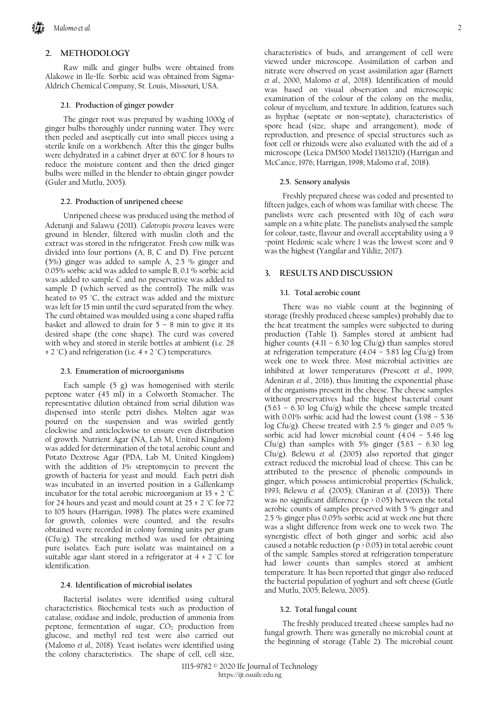# **2. METHODOLOGY**

Raw milk and ginger bulbs were obtained from Alakowe in Ile-Ife. Sorbic acid was obtained from Sigma-Aldrich Chemical Company, St. Louis, Missouri, USA.

## **2.1. Production of ginger powder**

The ginger root was prepared by washing 1000g of ginger bulbs thoroughly under running water. They were then peeled and aseptically cut into small pieces using a sterile knife on a workbench. After this the ginger bulbs were dehydrated in a cabinet dryer at 60°C for 8 hours to reduce the moisture content and then the dried ginger bulbs were milled in the blender to obtain ginger powder (Guler and Mutlu, 2005).

#### **2.2. Production of unripened cheese**

Unripened cheese was produced using the method of Adetunji and Salawu (2011). *Calotropis procera* leaves were ground in blender, filtered with muslin cloth and the extract was stored in the refrigerator. Fresh cow milk was divided into four portions (A, B, C and D). Five percent (5%) ginger was added to sample A, 2.5 % ginger and 0.05% sorbic acid was added to sample B, 0.1 % sorbic acid was added to sample C and no preservative was added to sample D (which served as the control). The milk was heated to 95 °C, the extract was added and the mixture was left for 15 min until the curd separated from the whey. The curd obtained was moulded using a cone shaped raffia basket and allowed to drain for  $5 - 8$  min to give it its desired shape (the cone shape). The curd was covered with whey and stored in sterile bottles at ambient (i.e. 28 ± 2 °C) and refrigeration (i.e. 4 ± 2 °C) temperatures.

## **2.3. Enumeration of microorganisms**

Each sample (5 g) was homogenised with sterile peptone water (45 ml) in a Colworth Stomacher. The representative dilution obtained from serial dilution was dispensed into sterile petri dishes. Molten agar was poured on the suspension and was swirled gently clockwise and anticlockwise to ensure even distribution of growth. Nutrient Agar (NA, Lab M, United Kingdom) was added for determination of the total aerobic count and Potato Dextrose Agar (PDA, Lab M, United Kingdom) with the addition of 1% streptomycin to prevent the growth of bacteria for yeast and mould. Each petri dish was incubated in an inverted position in a Gallenkamp incubator for the total aerobic microorganism at 35  $\pm$  2 °C for 24 hours and yeast and mould count at  $25 \pm 2$  °C for 72 to 105 hours (Harrigan, 1998). The plates were examined for growth, colonies were counted, and the results obtained were recorded in colony forming units per gram (Cfu/g). The streaking method was used for obtaining pure isolates. Each pure isolate was maintained on a suitable agar slant stored in a refrigerator at  $4 \pm 2$  °C for identification.

## **2.4. Identification of microbial isolates**

Bacterial isolates were identified using cultural characteristics. Biochemical tests such as production of catalase, oxidase and indole, production of ammonia from peptone, fermentation of sugar,  $CO<sub>2</sub>$  production from glucose, and methyl red test were also carried out (Malomo *et al.,* 2018). Yeast isolates were identified using the colony characteristics. The shape of cell, cell size, characteristics of buds, and arrangement of cell were viewed under microscope. Assimilation of carbon and nitrate were observed on yeast assimilation agar (Barnett *et al.,* 2000, Malomo *et al.,* 2018). Identification of mould was based on visual observation and microscopic examination of the colour of the colony on the media, colour of mycelium, and texture. In addition, features such as hyphae (septate or non-septate), characteristics of spore head (size, shape and arrangement), mode of reproduction, and presence of special structures such as foot cell or rhizoids were also evaluated with the aid of a microscope (Leica DM500 Model 13613210) (Harrigan and McCance, 1976; Harrigan, 1998; Malomo *et al.,* 2018).

#### **2.5. Sensory analysis**

Freshly prepared cheese was coded and presented to fifteen judges, each of whom was familiar with cheese. The panelists were each presented with 10g of each *wara* sample on a white plate. The panelists analysed the sample for colour, taste, flavour and overall acceptability using a 9 -point Hedonic scale where 1 was the lowest score and 9 was the highest (Yangilar and Yildiz, 2017).

## **3. RESULTS AND DISCUSSION**

#### **3.1. Total aerobic count**

There was no viable count at the beginning of storage (freshly produced cheese samples) probably due to the heat treatment the samples were subjected to during production (Table 1). Samples stored at ambient had higher counts  $(4.11 - 6.30 \log \text{Cfu/g})$  than samples stored at refrigeration temperature  $(4.04 - 5.83 \log \overline{C}$ fu/g) from week one to week three. Most microbial activities are inhibited at lower temperatures (Prescott *et al*., 1999; Adeniran *et al*., 2016), thus limiting the exponential phase of the organisms present in the cheese. The cheese samples without preservatives had the highest bacterial count (5.63 – 6.30 log Cfu/g) while the cheese sample treated with 0.01% sorbic acid had the lowest count  $(3.98 - 5.36)$ log Cfu/g). Cheese treated with 2.5 % ginger and 0.05 % sorbic acid had lower microbial count  $(4.04 - 5.46 \text{ log})$ Cfu/g) than samples with 5% ginger  $(5.63 - 6.30 \text{ log})$ Cfu/g). Belewu *et al.* (2005) also reported that ginger extract reduced the microbial load of cheese. This can be attributed to the presence of phenolic compounds in ginger, which possess antimicrobial properties (Schulick, 1993; Belewu *et al*. (2005); Olaniran *et al*. (2015)). There was no significant difference ( $p$  > 0.05) between the total aerobic counts of samples preserved with 5 % ginger and 2.5 % ginger plus 0.05% sorbic acid at week one but there was a slight difference from week one to week two. The synergistic effect of both ginger and sorbic acid also caused a notable reduction ( $p > 0.05$ ) in total aerobic count of the sample. Samples stored at refrigeration temperature had lower counts than samples stored at ambient temperature. It has been reported that ginger also reduced the bacterial population of yoghurt and soft cheese (Gutle and Mutlu, 2005; Belewu, 2005).

# **3.2. Total fungal count**

The freshly produced treated cheese samples had no fungal growth. There was generally no microbial count at the beginning of storage (Table 2). The microbial count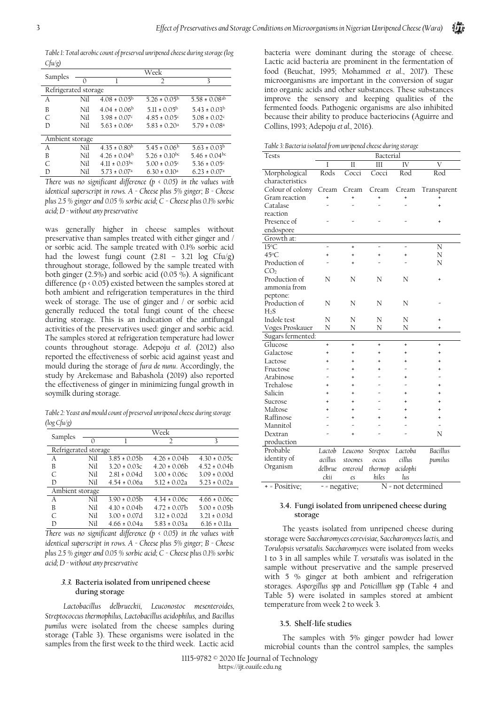*Table 1: Total aerobic count of preserved unripened cheese during storage (log Cfu/g)*

| Samples              |     |                               | Week                         |                               |
|----------------------|-----|-------------------------------|------------------------------|-------------------------------|
|                      |     |                               | $\overline{2}$               | 3                             |
| Refrigerated storage |     |                               |                              |                               |
| А                    | Nil | $4.08 \pm 0.05^{\rm b}$       | $5.26 \pm 0.05^{\rm b}$      | $5.58 \pm 0.08$ <sup>ab</sup> |
| B                    | Nil | $4.04 \pm 0.06^{\rm b}$       | $5.11 \pm 0.05^{\rm b}$      | $5.43 \pm 0.03^{\rm b}$       |
| C                    | Nil | $3.98 \pm 0.07$ <sup>c</sup>  | $4.85 \pm 0.05$ <sup>c</sup> | $5.08 \pm 0.02$ <sup>c</sup>  |
| D                    | Nil | $5.63 \pm 0.06^a$             | $5.83 \pm 0.20$ <sup>a</sup> | $5.79 \pm 0.08^{\circ}$       |
| Ambient storage      |     |                               |                              |                               |
| A                    | Nil | $4.35 \pm 0.80^{\rm b}$       | $5.45 \pm 0.06^{\rm b}$      | $5.63 \pm 0.03^{\rm b}$       |
| B                    | Nil | $4.26 \pm 0.04^{\rm b}$       | $5.26 \pm 0.10^{bc}$         | 5.46 ± 0.04 <sup>bc</sup>     |
| C                    | Nil | $4.11 \pm 0.03$ <sup>bc</sup> | $5.00 \pm 0.05$ <sup>c</sup> | $5.36 \pm 0.05$ <sup>c</sup>  |
| D                    | Nil | $5.73 \pm 0.07$ <sup>a</sup>  | $6.30 \pm 0.10^a$            | $6.23 \pm 0.07$ <sup>a</sup>  |

*There was no significant difference (p < 0.05) in the values with identical superscript in rows. A - Cheese plus 5% ginger; B - Cheese plus 2.5 % ginger and 0.05 % sorbic acid; C - Cheese plus 0.1% sorbic acid; D - without any preservative* 

was generally higher in cheese samples without preservative than samples treated with either ginger and / or sorbic acid. The sample treated with 0.1% sorbic acid had the lowest fungi count (2.81 – 3.21 log Cfu/g) throughout storage, followed by the sample treated with both ginger (2.5%) and sorbic acid (0.05 %). A significant difference (p < 0.05) existed between the samples stored at both ambient and refrigeration temperatures in the third week of storage. The use of ginger and / or sorbic acid generally reduced the total fungi count of the cheese during storage. This is an indication of the antifungal activities of the preservatives used: ginger and sorbic acid. The samples stored at refrigeration temperature had lower counts throughout storage. Adepoju *et al*. (2012) also reported the effectiveness of sorbic acid against yeast and mould during the storage of *fura de nunu*. Accordingly, the study by Arekemase and Babashola (2019) also reported the effectiveness of ginger in minimizing fungal growth in soymilk during storage.

*Table 2: Yeast and mould count of preserved unripened cheese during storage (log Cfu/g)*

| Samples              |     |                  | Week             |                  |
|----------------------|-----|------------------|------------------|------------------|
|                      | 0   |                  | っ                | 3                |
| Refrigerated storage |     |                  |                  |                  |
| A                    | Nil | $3.85 \pm 0.05$  | $4.26 \pm 0.04$  | $4.30 \pm 0.05c$ |
| B                    | Nil | $3.20 \pm 0.03c$ | $4.20 \pm 0.06$  | $4.52 \pm 0.04h$ |
| $\subset$            | Nil | $2.81 \pm 0.04d$ | $3.00 \pm 0.06c$ | $3.09 \pm 0.00d$ |
| Ð                    | Nil | $4.54 \pm 0.06a$ | $5.12 \pm 0.02a$ | $5.23 \pm 0.02a$ |
| Ambient storage      |     |                  |                  |                  |
| A                    | Nil | $3.90 \pm 0.05$  | $4.34 \pm 0.06c$ | $4.66 \pm 0.06c$ |
| B                    | Nil | $4.10 \pm 0.04$  | $4.72 \pm 0.07$  | $5.00 \pm 0.05$  |
| $\subset$            | Nil | $3.00 \pm 0.07d$ | $3.12 \pm 0.02d$ | $3.21 \pm 0.03d$ |
| D                    | Nil | $466 \pm 004a$   | $5.83 + 0.03a$   | $616 \pm 011a$   |

*There was no significant difference (p < 0.05) in the values with identical superscript in rows. A - Cheese plus 5% ginger; B - Cheese plus 2.5 % ginger and 0.05 % sorbic acid; C - Cheese plus 0.1% sorbic acid; D - without any preservative* 

## **3.3. Bacteria isolated from unripened cheese during storage**

*Lactobacillus delbrueckii, Leuconostoc mesenteroides, Streptococcus thermophilus, Lactobacillus acidophilus,* and *Bacillus pumilus* were isolated from the cheese samples during storage (Table 3). These organisms were isolated in the samples from the first week to the third week. Lactic acid bacteria were dominant during the storage of cheese. Lactic acid bacteria are prominent in the fermentation of food (Beuchat, 1995; Mohammed *et al*., 2017). These microorganisms are important in the conversion of sugar into organic acids and other substances. These substances improve the sensory and keeping qualities of the fermented foods. Pathogenic organisms are also inhibited because their ability to produce bacteriocins (Aguirre and Collins, 1993; Adepoju *et al.,* 2016).

Шì

*Table 3: Bacteria isolated from unripened cheese during storage*

| Tests             | Bacterial     |                     |                    |           |                     |
|-------------------|---------------|---------------------|--------------------|-----------|---------------------|
|                   | Ī             | $\overline{\rm II}$ | III                | IV        | $\overline{\rm{V}}$ |
| Morphological     | Rods          | Cocci               | Cocci              | Rod       | Rod                 |
| characteristics   |               |                     |                    |           |                     |
| Colour of colony  | Cream         | Cream               | Cream              | Cream     | Transparent         |
| Gram reaction     | $\ddot{}$     | $\ddot{}$           | $\ddot{}$          | $\ddot{}$ | +                   |
| Catalase          |               |                     |                    |           | $\ddot{}$           |
| reaction          |               |                     |                    |           |                     |
| Presence of       |               |                     |                    |           | $\ddot{}$           |
| endospore         |               |                     |                    |           |                     |
| Growth at:        |               |                     |                    |           |                     |
| $15^{\circ}$ C    |               | $\ddot{}$           |                    |           | N                   |
| 45°C              | ÷             |                     | +                  | ÷         | N                   |
| Production of     |               |                     |                    |           | N                   |
| CO <sub>2</sub>   |               |                     |                    |           |                     |
| Production of     | N             | Ν                   | Ν                  | N         | $\ddot{}$           |
| ammonia from      |               |                     |                    |           |                     |
| peptone:          |               |                     |                    |           |                     |
| Production of     | N             | Ν                   | N                  | N         |                     |
| H <sub>2</sub> S  |               |                     |                    |           |                     |
| Indole test       | N             | Ν                   | Ν                  | N         | $\ddot{}$           |
| Voges Proskauer   | N             | N                   | N                  | N         | $\ddot{}$           |
| Sugars fermented: |               |                     |                    |           |                     |
| Glucose           | $\ddot{}$     | $\ddot{}$           | $\ddot{}$          | $\ddot{}$ | $\ddot{}$           |
| Galactose         |               |                     |                    |           | $\ddot{}$           |
| Lactose           |               |                     |                    |           | $\ddot{}$           |
| Fructose          |               | 4                   |                    |           | $\ddot{}$           |
| Arabinose         |               |                     |                    |           |                     |
| Trehalose         |               |                     |                    |           | ÷                   |
| Salicin           |               |                     |                    |           | $\ddot{}$           |
| Sucrose           |               |                     |                    |           | $\ddot{}$           |
| Maltose           |               |                     |                    |           | ÷.                  |
| Raffinose         |               |                     |                    |           | $\ddot{}$           |
| Mannitol          |               |                     |                    |           |                     |
| Dextran           |               |                     |                    |           | N                   |
| production        |               |                     |                    |           |                     |
| Probable          | Lactob        | Leucono             | Streptoc           | Lactoba   | <b>Bacillus</b>     |
| identity of       | acillus       | stocmes             | occus              | cillus    | pumilus             |
| Organism          | delbrue       | enteroid            | thermop            | acidophi  |                     |
|                   | ckii          | es                  | hiles              | lus       |                     |
| + = Positive;     | - = negative; |                     | N = not determined |           |                     |

## **3.4. Fungi isolated from unripened cheese during storage**

The yeasts isolated from unripened cheese during storage were *Saccharomyces cerevisiae, Saccharomyces lactis,* and *Torulopsis versatalis. Saccharomyces* were isolated from weeks 1 to 3 in all samples while *T. versatalis* was isolated in the sample without preservative and the sample preserved with 5 % ginger at both ambient and refrigeration storages. *Aspergillus spp* and *Penicilllum spp* (Table 4 and Table 5) were isolated in samples stored at ambient temperature from week 2 to week 3.

## **3.5. Shelf-life studies**

The samples with 5% ginger powder had lower microbial counts than the control samples, the samples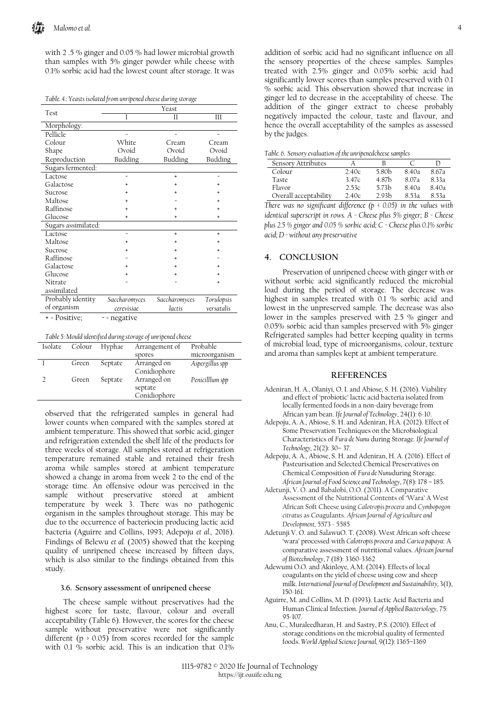with 2 .5 % ginger and 0.05 % had lower microbial growth than samples with 5% ginger powder while cheese with 0.1% sorbic acid had the lowest count after storage. It was

*Table. 4.: Yeasts isolated from unripened cheese during storage*

| Test                | Yeast         |               |            |  |  |  |
|---------------------|---------------|---------------|------------|--|--|--|
|                     | T             | Н             | Ш          |  |  |  |
| Morphology:         |               |               |            |  |  |  |
| Pellicle            |               |               |            |  |  |  |
| Colour              | White         | Cream         | Cream      |  |  |  |
| Shape               | Ovoid         | Ovoid         | Ovoid      |  |  |  |
| Reproduction        | Budding       | Budding       | Budding    |  |  |  |
| Sugars fermented:   |               |               |            |  |  |  |
| Lactose             |               | $\ddot{}$     |            |  |  |  |
| Galactose           |               |               | ÷          |  |  |  |
| Sucrose             |               |               |            |  |  |  |
| Maltose             |               |               |            |  |  |  |
| Raffinose           |               |               |            |  |  |  |
| Glucose             | $\ddot{}$     | +             | $\ddot{}$  |  |  |  |
| Sugars assimilated: |               |               |            |  |  |  |
| Lactose             |               | ÷             | $\ddot{}$  |  |  |  |
| Maltose             |               |               |            |  |  |  |
| Sucrose             |               |               |            |  |  |  |
| Raffinose           |               |               |            |  |  |  |
| Galactose           |               |               |            |  |  |  |
| Glucose             |               |               |            |  |  |  |
| Nitrate             |               |               |            |  |  |  |
| assimilated         |               |               |            |  |  |  |
| Probably identity   | Saccharomyces | Saccharomyces | Torulopsis |  |  |  |
| of organism         | cerevisiae    | lactis        | versatalis |  |  |  |
| + = Positive;       | - = negative  |               |            |  |  |  |

*Table 5: Mould identified during storage of unripened cheese*

| Isolate | Colour | Hyphae  | Arrangement of                         | Probable        |
|---------|--------|---------|----------------------------------------|-----------------|
|         |        |         | spores                                 | microorganism   |
|         | Green  | Septate | Arranged on<br>Conidiophore            | Aspergillus spp |
|         | Green  | Septate | Arranged on<br>septate<br>Conidiophore | Penicilllum spp |

observed that the refrigerated samples in general had lower counts when compared with the samples stored at ambient temperature. This showed that sorbic acid, ginger and refrigeration extended the shelf life of the products for three weeks of storage. All samples stored at refrigeration temperature remained stable and retained their fresh aroma while samples stored at ambient temperature showed a change in aroma from week 2 to the end of the storage time. An offensive odour was perceived in the sample without preservative stored at ambient temperature by week 3. There was no pathogenic organism in the samples throughout storage. This may be due to the occurrence of bacteriocin producing lactic acid bacteria (Aguirre and Collins, 1993; Adepoju *et al.,* 2016). Findings of Belewu *et al.* (2005) showed that the keeping quality of unripened cheese increased by fifteen days, which is also similar to the findings obtained from this study.

#### **3.6. Sensory assessment of unripened cheese**

The cheese sample without preservatives had the highest score for taste, flavour, colour and overall acceptability (Table 6). However, the scores for the cheese sample without preservative were not significantly different  $(p \t{>} 0.05)$  from scores recorded for the sample with 0.1 % sorbic acid. This is an indication that 0.1%

addition of sorbic acid had no significant influence on all the sensory properties of the cheese samples. Samples treated with 2.5% ginger and 0.05% sorbic acid had significantly lower scores than samples preserved with 0.1 % sorbic acid. This observation showed that increase in ginger led to decrease in the acceptability of cheese. The addition of the ginger extract to cheese probably negatively impacted the colour, taste and flavour, and hence the overall acceptability of the samples as assessed by the judges.

|  |  | Table. 6. Sensory evaluation of the unripenedcheese samples |  |
|--|--|-------------------------------------------------------------|--|
|  |  |                                                             |  |

| Sensory Attributes    |       |                   |       |       |
|-----------------------|-------|-------------------|-------|-------|
| Colour                | 2.40c | 5.80 <sub>b</sub> | 8.40a | 8.67a |
| Taste                 | 3.47c | 4.87h             | 8.07a | 8 33а |
| Flavor                | 2.53c | 573h              | 8 40а | 8.40a |
| Overall acceptability | 2.40c | 293h              | 8 53а | 8 53а |

*There was no significant difference (p < 0.05) in the values with identical superscript in rows. A - Cheese plus 5% ginger; B - Cheese plus 2.5 % ginger and 0.05 % sorbic acid; C - Cheese plus 0.1% sorbic acid; D - without any preservative*

#### **4. CONCLUSION**

Preservation of unripened cheese with ginger with or without sorbic acid significantly reduced the microbial load during the period of storage. The decrease was highest in samples treated with 0.1 % sorbic acid and lowest in the unpreserved sample. The decrease was also lower in the samples preserved with 2.5 % ginger and 0.05% sorbic acid than samples preserved with 5% ginger Refrigerated samples had better keeping quality in terms of microbial load, type of microorganisms, colour, texture and aroma than samples kept at ambient temperature.

#### **REFERENCES**

- Adeniran, H. A., Olaniyi, O. I. and Abiose, S. H. (2016). Viability and effect of 'probiotic' lactic acid bacteria isolated from locally fermented foods in a non-dairy beverage from African yam bean. *Ife Journal of Technology*, 24(1): 6-10.
- Adepoju, A. A., Abiose, S. H. and Adeniran, H.A. (2012). Effect of Some Preservation Techniques on the Microbiological Characteristics of *Fura de Nunu* during Storage. *Ife Journal of Technology,* 21(2): 30– 37.
- Adepoju, A. A., Abiose, S. H. and Adeniran, H. A. (2016). Effect of Pasteurisation and Selected Chemical Preservatives on Chemical Composition of *Fura de Nunu*during Storage. *African Journal of Food Science and Technology*, 7(8): 178 – 185.
- Adetunji, V. O. and Babalobi, O.O. (2011). A Comparative Assessment of the Nutritional Contents of 'Wara' A West African Soft Cheese using *Calotropis procera* and *Cymbopogon citratus* as Coagulants. *African Journal of Agriculture and Development,* 5573 - 5585
- Adetunji V. O. and SalawuO. T. (2008). West African soft cheese 'wara' processed with *Calotropis procera* and *Carica papaya*: A comparative assessment of nutritional values. *African Journal of Biotechnology*, 7 (18): 3360-3362
- Adewumi O.O. and Akinloye, A.M. (2014). Effects of local coagulants on the yield of cheese using cow and sheep milk. *International Journal of Development and Sustainability,* 3(1), 150-161.
- Aguirre, M. and Collins, M. D. (1993). Lactic Acid Bacteria and Human Clinical Infection. *Journal of Applied Bacteriology*, 75: 95-107.
- Anu, C., Muraleedharan, H. and Sastry, P.S. (2010). Effect of storage conditions on the microbial quality of fermented foods. *World Applied Science Journal,* 9(12): 1365–1369